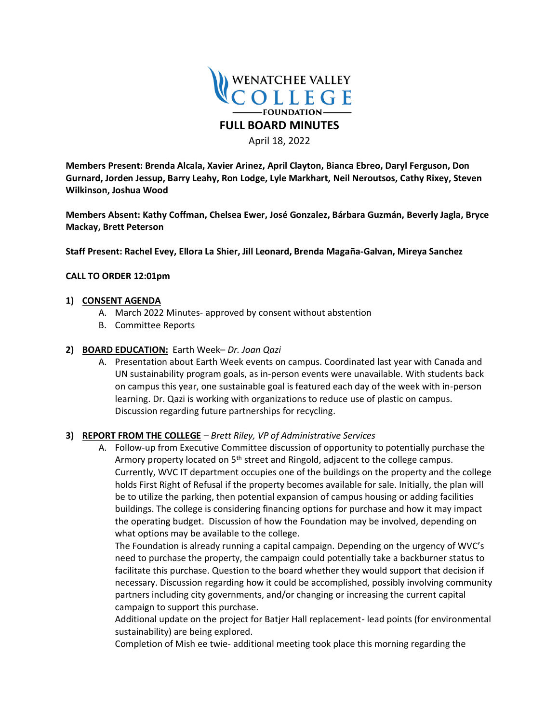

April 18, 2022

**Members Present: Brenda Alcala, Xavier Arinez, April Clayton, Bianca Ebreo, Daryl Ferguson, Don Gurnard, Jorden Jessup, Barry Leahy, Ron Lodge, Lyle Markhart, Neil Neroutsos, Cathy Rixey, Steven Wilkinson, Joshua Wood** 

**Members Absent: Kathy Coffman, Chelsea Ewer, José Gonzalez, Bárbara Guzmán, Beverly Jagla, Bryce Mackay, Brett Peterson**

**Staff Present: Rachel Evey, Ellora La Shier, Jill Leonard, Brenda Magaña-Galvan, Mireya Sanchez**

#### **CALL TO ORDER 12:01pm**

#### **1) CONSENT AGENDA**

- A. March 2022 Minutes- approved by consent without abstention
- B. Committee Reports

#### **2) BOARD EDUCATION:** Earth Week– *Dr. Joan Qazi*

A. Presentation about Earth Week events on campus. Coordinated last year with Canada and UN sustainability program goals, as in-person events were unavailable. With students back on campus this year, one sustainable goal is featured each day of the week with in-person learning. Dr. Qazi is working with organizations to reduce use of plastic on campus. Discussion regarding future partnerships for recycling.

### **3) REPORT FROM THE COLLEGE** *– Brett Riley, VP of Administrative Services*

A. Follow-up from Executive Committee discussion of opportunity to potentially purchase the Armory property located on 5<sup>th</sup> street and Ringold, adjacent to the college campus. Currently, WVC IT department occupies one of the buildings on the property and the college holds First Right of Refusal if the property becomes available for sale. Initially, the plan will be to utilize the parking, then potential expansion of campus housing or adding facilities buildings. The college is considering financing options for purchase and how it may impact the operating budget. Discussion of how the Foundation may be involved, depending on what options may be available to the college.

The Foundation is already running a capital campaign. Depending on the urgency of WVC's need to purchase the property, the campaign could potentially take a backburner status to facilitate this purchase. Question to the board whether they would support that decision if necessary. Discussion regarding how it could be accomplished, possibly involving community partners including city governments, and/or changing or increasing the current capital campaign to support this purchase.

Additional update on the project for Batjer Hall replacement- lead points (for environmental sustainability) are being explored.

Completion of Mish ee twie- additional meeting took place this morning regarding the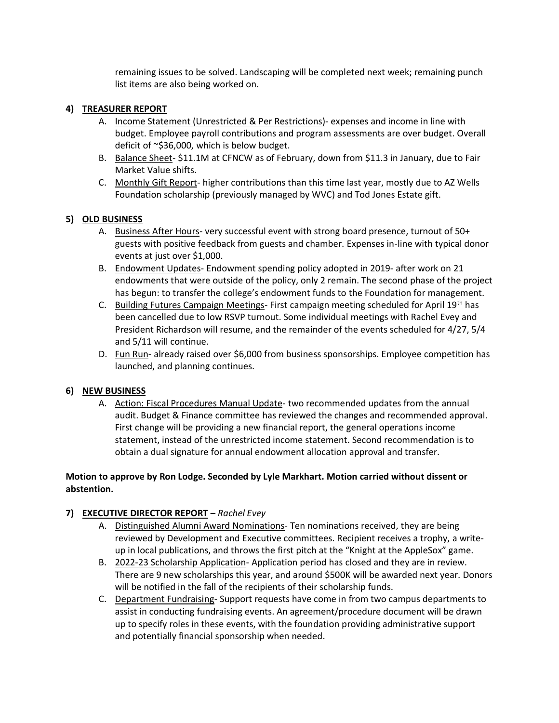remaining issues to be solved. Landscaping will be completed next week; remaining punch list items are also being worked on.

## **4) TREASURER REPORT**

- A. Income Statement (Unrestricted & Per Restrictions)- expenses and income in line with budget. Employee payroll contributions and program assessments are over budget. Overall deficit of ~\$36,000, which is below budget.
- B. Balance Sheet- \$11.1M at CFNCW as of February, down from \$11.3 in January, due to Fair Market Value shifts.
- C. Monthly Gift Report- higher contributions than this time last year, mostly due to AZ Wells Foundation scholarship (previously managed by WVC) and Tod Jones Estate gift.

## **5) OLD BUSINESS**

- A. Business After Hours- very successful event with strong board presence, turnout of 50+ guests with positive feedback from guests and chamber. Expenses in-line with typical donor events at just over \$1,000.
- B. Endowment Updates- Endowment spending policy adopted in 2019- after work on 21 endowments that were outside of the policy, only 2 remain. The second phase of the project has begun: to transfer the college's endowment funds to the Foundation for management.
- C. Building Futures Campaign Meetings- First campaign meeting scheduled for April  $19<sup>th</sup>$  has been cancelled due to low RSVP turnout. Some individual meetings with Rachel Evey and President Richardson will resume, and the remainder of the events scheduled for 4/27, 5/4 and 5/11 will continue.
- D. Fun Run- already raised over \$6,000 from business sponsorships. Employee competition has launched, and planning continues.

### **6) NEW BUSINESS**

A. Action: Fiscal Procedures Manual Update- two recommended updates from the annual audit. Budget & Finance committee has reviewed the changes and recommended approval. First change will be providing a new financial report, the general operations income statement, instead of the unrestricted income statement. Second recommendation is to obtain a dual signature for annual endowment allocation approval and transfer.

# **Motion to approve by Ron Lodge. Seconded by Lyle Markhart. Motion carried without dissent or abstention.**

# **7) EXECUTIVE DIRECTOR REPORT** *– Rachel Evey*

- A. Distinguished Alumni Award Nominations- Ten nominations received, they are being reviewed by Development and Executive committees. Recipient receives a trophy, a writeup in local publications, and throws the first pitch at the "Knight at the AppleSox" game.
- B. 2022-23 Scholarship Application- Application period has closed and they are in review. There are 9 new scholarships this year, and around \$500K will be awarded next year. Donors will be notified in the fall of the recipients of their scholarship funds.
- C. Department Fundraising- Support requests have come in from two campus departments to assist in conducting fundraising events. An agreement/procedure document will be drawn up to specify roles in these events, with the foundation providing administrative support and potentially financial sponsorship when needed.